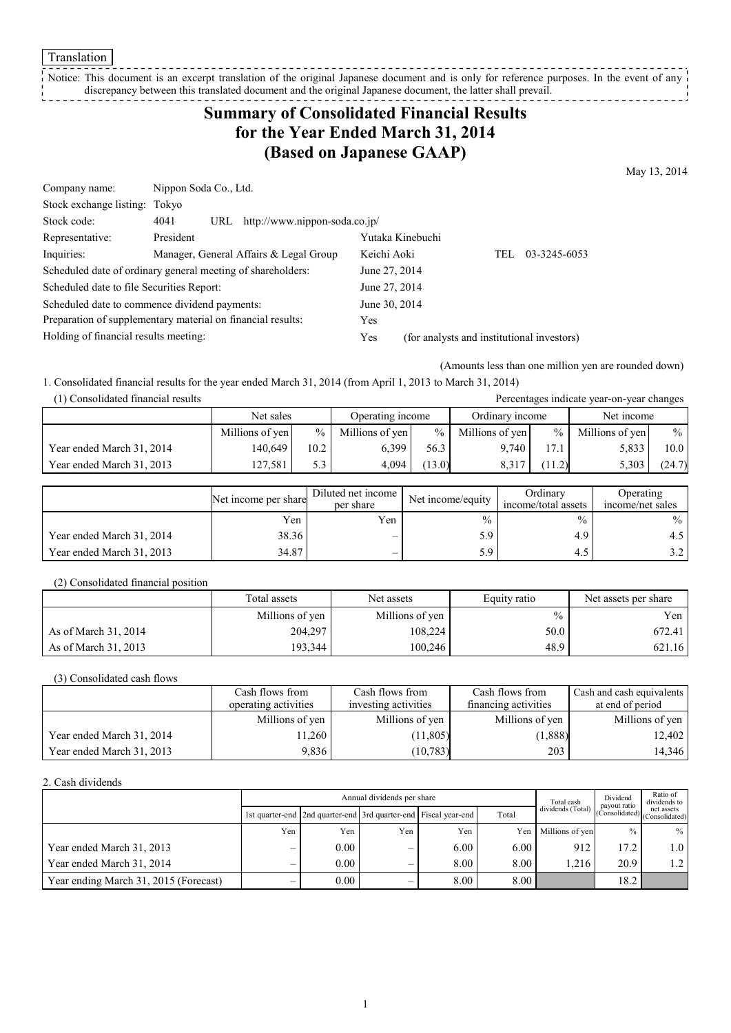Translation

Notice: This document is an excerpt translation of the original Japanese document and is only for reference purposes. In the event of any discrepancy between this translated document and the original Japanese document, the latter shall prevail. 

## **Summary of Consolidated Financial Results for the Year Ended March 31, 2014 (Based on Japanese GAAP)**

May 13, 2014

| Company name:                             | Nippon Soda Co., Ltd.                                       |                                                   |
|-------------------------------------------|-------------------------------------------------------------|---------------------------------------------------|
| Stock exchange listing: Tokyo             |                                                             |                                                   |
| Stock code:                               | URL http://www.nippon-soda.co.jp/<br>4041                   |                                                   |
| Representative:                           | President                                                   | Yutaka Kinebuchi                                  |
| Inquiries:                                | Manager, General Affairs & Legal Group                      | Keichi Aoki<br>03-3245-6053<br>TEL.               |
|                                           | Scheduled date of ordinary general meeting of shareholders: | June 27, 2014                                     |
| Scheduled date to file Securities Report: |                                                             | June 27, 2014                                     |
|                                           | Scheduled date to commence dividend payments:               | June 30, 2014                                     |
|                                           | Preparation of supplementary material on financial results: | Yes                                               |
| Holding of financial results meeting:     |                                                             | (for analysts and institutional investors)<br>Yes |

(Amounts less than one million yen are rounded down)

Percentages indicate year-on-year changes

1. Consolidated financial results for the year ended March 31, 2014 (from April 1, 2013 to March 31, 2014)

| (1) Consolidated financial results |  |  |
|------------------------------------|--|--|
|                                    |  |  |

|                           | Net sales       |               | Operating income |        | Ordinary income |               | Net income      |        |
|---------------------------|-----------------|---------------|------------------|--------|-----------------|---------------|-----------------|--------|
|                           | Millions of yen | $\frac{0}{0}$ | Millions of yen  | $\%$   | Millions of yen | $\frac{9}{6}$ | Millions of yen | $\%$   |
| Year ended March 31, 2014 | 140.649         | 10.2          | 6.399            | 56.3   | 9.740           |               | 5.833           | 10.0   |
| Year ended March 31, 2013 | 127.581         | 5.3           | 4.094            | (13.0) | 8,317           | (11.2)        | 5,303           | (24.7) |

|                           | Net income per share | Diluted net income<br>per share | Net income/equity | Ordinary<br>income/total assets | <b>Operating</b><br>income/net sales |
|---------------------------|----------------------|---------------------------------|-------------------|---------------------------------|--------------------------------------|
|                           | Yen                  | Yen                             | $\frac{0}{0}$     | $\%$                            | $\%$                                 |
| Year ended March 31, 2014 | 38.36                | $\overline{\phantom{a}}$        |                   | 4.9                             |                                      |
| Year ended March 31, 2013 | 34.87                |                                 |                   | 4.3                             |                                      |

(2) Consolidated financial position

|                      | Total assets    | Net assets      | Equity ratio | Net assets per share |
|----------------------|-----------------|-----------------|--------------|----------------------|
|                      | Millions of yen | Millions of yen | $\%$         | Yen                  |
| As of March 31, 2014 | 204,297         | 108,224         | 50.0         | 672.41               |
| As of March 31, 2013 | 193,344         | 100.246         | 48.9         | 621.16               |

(3) Consolidated cash flows

|                           | Cash flows from      | Cash flows from      | Cash flows from      | Cash and cash equivalents |
|---------------------------|----------------------|----------------------|----------------------|---------------------------|
|                           | operating activities | investing activities | financing activities | at end of period          |
|                           | Millions of yen      | Millions of yen      | Millions of yen      | Millions of yen           |
| Year ended March 31, 2014 | 1.260                | (11,805)             | (1,888)              | 12,402                    |
| Year ended March 31, 2013 | 9.836                | (10, 783)            | 203                  | 14,346                    |

#### 2. Cash dividends

|                                       |     | Total cash | Dividend<br>payout ratio | Ratio of<br>dividends to                                        |                |                                                                           |               |                      |
|---------------------------------------|-----|------------|--------------------------|-----------------------------------------------------------------|----------------|---------------------------------------------------------------------------|---------------|----------------------|
|                                       |     |            |                          | 1st quarter-end 2nd quarter-end 3rd quarter-end Fiscal year-end | Total          | dividends (Total) $ _{\text{(Consolidated)}}$ $ _{\text{(Consolidated)}}$ |               |                      |
|                                       | Yen | Yen        | Yen                      | Yen                                                             |                | Yen Millions of yen                                                       | $\frac{0}{0}$ | %                    |
| Year ended March 31, 2013             |     | 0.00       | -                        | 6.00                                                            | $6.00^{\circ}$ | 912                                                                       | 17.2          | 1.0 <sub>1</sub>     |
| Year ended March 31, 2014             |     | 0.00       | —                        | 8.00                                                            | 8.00           | .216                                                                      | 20.9          | $\lfloor .2 \rfloor$ |
| Year ending March 31, 2015 (Forecast) |     | 0.00       |                          | 8.00                                                            | 8.00           |                                                                           | 18.2          |                      |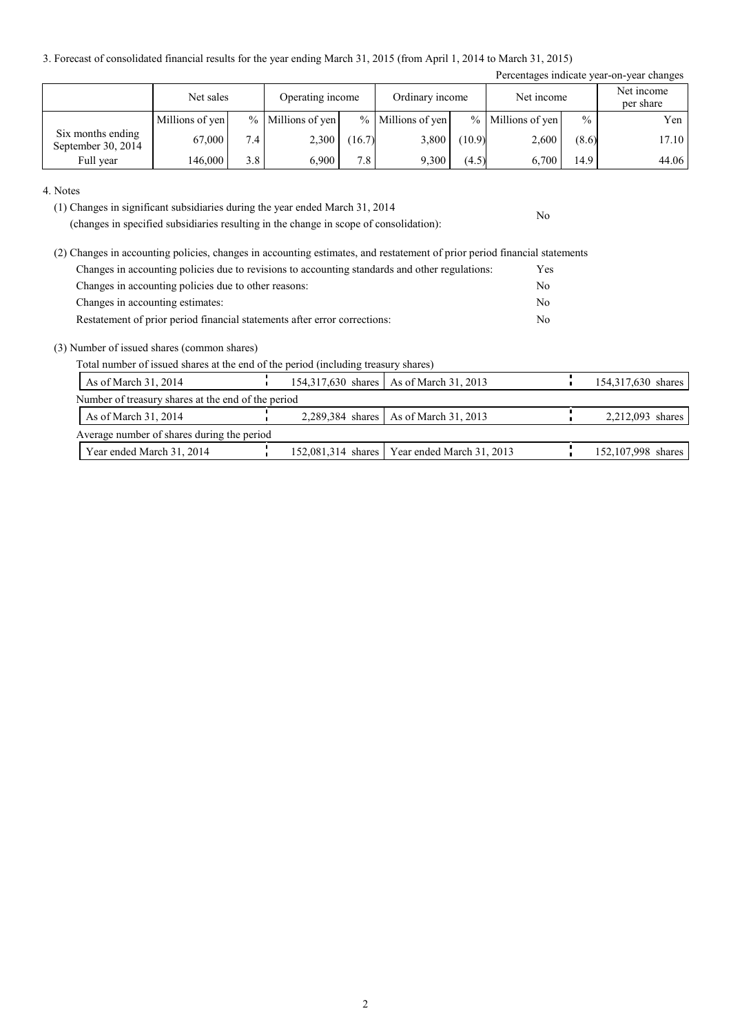3. Forecast of consolidated financial results for the year ending March 31, 2015 (from April 1, 2014 to March 31, 2015)

|                                         |                 |     |                   |                  |                     |        |                     |               | Percentages indicate year-on-year changes |
|-----------------------------------------|-----------------|-----|-------------------|------------------|---------------------|--------|---------------------|---------------|-------------------------------------------|
|                                         | Net sales       |     | Operating income  |                  | Ordinary income     |        | Net income          |               | Net income<br>per share                   |
|                                         | Millions of yen |     | % Millions of yen |                  | $%$ Millions of yen |        | $%$ Millions of yen | $\frac{0}{0}$ | Yen                                       |
| Six months ending<br>September 30, 2014 | 67,000          | 7.4 | 2,300             | (16.7)           | 3,800               | (10.9) | 2,600               | (8.6)         | 17.10                                     |
| Full year                               | 146,000         | 3.8 | 6.900             | 7.8 <sub>1</sub> | 9,300               | (4.5)  | 6.700               | 14.9          | 44.06                                     |

#### 4. Notes

(1) Changes in significant subsidiaries during the year ended March 31, 2014

(changes in specified subsidiaries resulting in the change in scope of consolidation):

| (2) Changes in accounting policies, changes in accounting estimates, and restatement of prior period financial statements |                |
|---------------------------------------------------------------------------------------------------------------------------|----------------|
| Changes in accounting policies due to revisions to accounting standards and other regulations:                            | Yes            |
| Changes in accounting policies due to other reasons:                                                                      | No.            |
| Changes in accounting estimates:                                                                                          | N <sub>0</sub> |
| Restatement of prior period financial statements after error corrections:                                                 | N <sub>0</sub> |

#### (3) Number of issued shares (common shares)

Total number of issued shares at the end of the period (including treasury shares)

| As of March 31, 2014                               |  | 154,317,630 shares   As of March 31, 2013      | 154,317,630 shares |
|----------------------------------------------------|--|------------------------------------------------|--------------------|
| Number of treasury shares at the end of the period |  |                                                |                    |
| As of March 31, 2014                               |  | 2,289,384 shares   As of March 31, 2013        | 2,212,093 shares   |
| Average number of shares during the period         |  |                                                |                    |
| Year ended March 31, 2014                          |  | 152,081,314 shares   Year ended March 31, 2013 | 152,107,998 shares |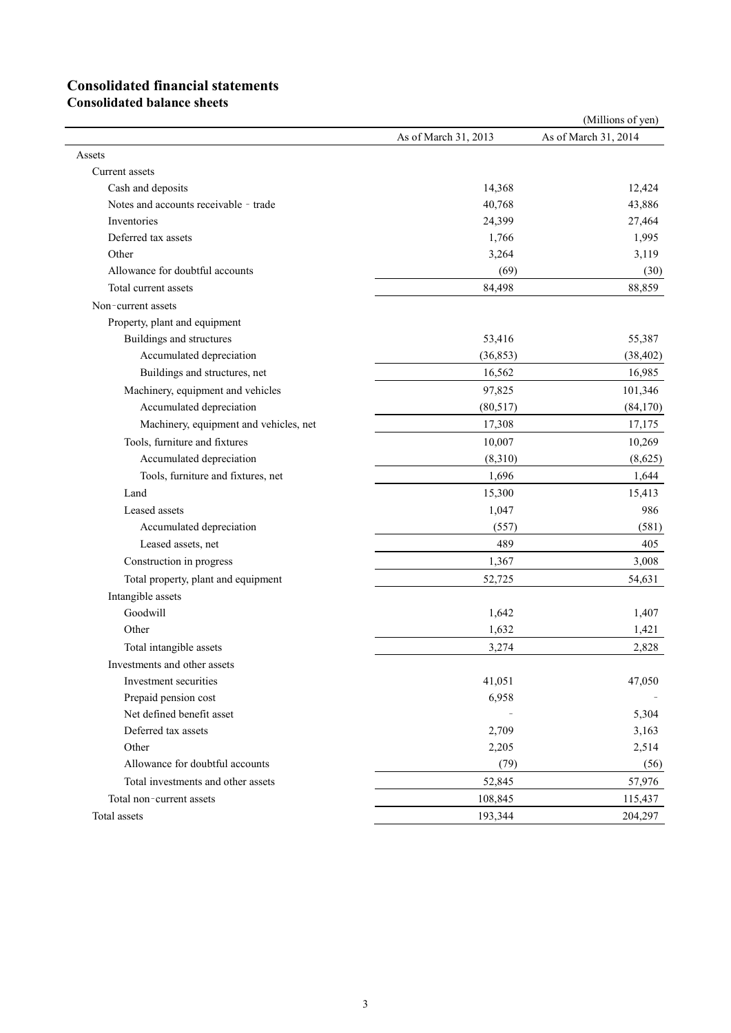# **Consolidated financial statements**

**Consolidated balance sheets**

|                                        |                      | (Millions of yen)    |
|----------------------------------------|----------------------|----------------------|
|                                        | As of March 31, 2013 | As of March 31, 2014 |
| Assets                                 |                      |                      |
| Current assets                         |                      |                      |
| Cash and deposits                      | 14,368               | 12,424               |
| Notes and accounts receivable - trade  | 40,768               | 43,886               |
| Inventories                            | 24,399               | 27,464               |
| Deferred tax assets                    | 1,766                | 1,995                |
| Other                                  | 3,264                | 3,119                |
| Allowance for doubtful accounts        | (69)                 | (30)                 |
| Total current assets                   | 84,498               | 88,859               |
| Non-current assets                     |                      |                      |
| Property, plant and equipment          |                      |                      |
| Buildings and structures               | 53,416               | 55,387               |
| Accumulated depreciation               | (36, 853)            | (38, 402)            |
| Buildings and structures, net          | 16,562               | 16,985               |
| Machinery, equipment and vehicles      | 97,825               | 101,346              |
| Accumulated depreciation               | (80, 517)            | (84,170)             |
| Machinery, equipment and vehicles, net | 17,308               | 17,175               |
| Tools, furniture and fixtures          | 10,007               | 10,269               |
| Accumulated depreciation               | (8,310)              | (8,625)              |
| Tools, furniture and fixtures, net     | 1,696                | 1,644                |
| Land                                   | 15,300               | 15,413               |
| Leased assets                          | 1,047                | 986                  |
| Accumulated depreciation               | (557)                | (581)                |
| Leased assets, net                     | 489                  | 405                  |
| Construction in progress               | 1,367                | 3,008                |
| Total property, plant and equipment    | 52,725               | 54,631               |
| Intangible assets                      |                      |                      |
| Goodwill                               | 1,642                | 1,407                |
| Other                                  | 1,632                | 1,421                |
| Total intangible assets                | 3,274                | 2,828                |
| Investments and other assets           |                      |                      |
| Investment securities                  | 41,051               | 47,050               |
| Prepaid pension cost                   | 6,958                |                      |
| Net defined benefit asset              |                      | 5,304                |
| Deferred tax assets                    | 2,709                | 3,163                |
| Other                                  | 2,205                | 2,514                |
| Allowance for doubtful accounts        | (79)                 | (56)                 |
| Total investments and other assets     | 52,845               | 57,976               |
| Total non-current assets               | 108,845              | 115,437              |
| Total assets                           | 193,344              | 204,297              |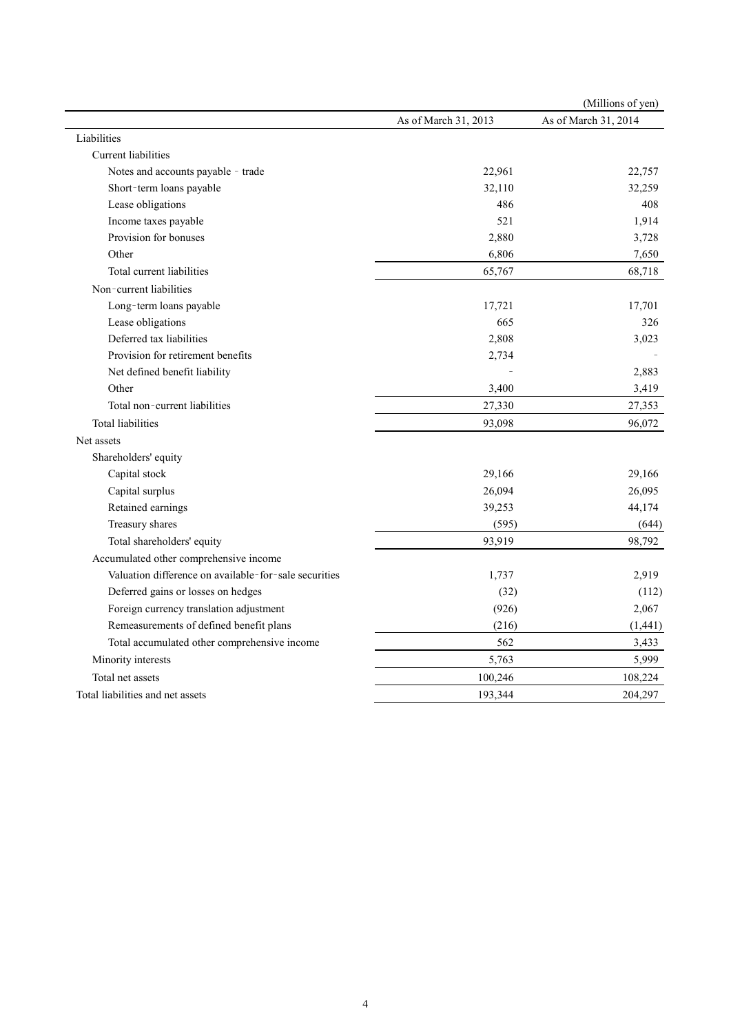|                                                       |                      | (Millions of yen)    |
|-------------------------------------------------------|----------------------|----------------------|
|                                                       | As of March 31, 2013 | As of March 31, 2014 |
| Liabilities                                           |                      |                      |
| Current liabilities                                   |                      |                      |
| Notes and accounts payable - trade                    | 22,961               | 22,757               |
| Short-term loans payable                              | 32,110               | 32,259               |
| Lease obligations                                     | 486                  | 408                  |
| Income taxes payable                                  | 521                  | 1,914                |
| Provision for bonuses                                 | 2,880                | 3,728                |
| Other                                                 | 6,806                | 7,650                |
| Total current liabilities                             | 65,767               | 68,718               |
| Non-current liabilities                               |                      |                      |
| Long-term loans payable                               | 17,721               | 17,701               |
| Lease obligations                                     | 665                  | 326                  |
| Deferred tax liabilities                              | 2,808                | 3,023                |
| Provision for retirement benefits                     | 2,734                |                      |
| Net defined benefit liability                         |                      | 2,883                |
| Other                                                 | 3,400                | 3,419                |
| Total non-current liabilities                         | 27,330               | 27,353               |
| <b>Total liabilities</b>                              | 93,098               | 96,072               |
| Net assets                                            |                      |                      |
| Shareholders' equity                                  |                      |                      |
| Capital stock                                         | 29,166               | 29,166               |
| Capital surplus                                       | 26,094               | 26,095               |
| Retained earnings                                     | 39,253               | 44,174               |
| Treasury shares                                       | (595)                | (644)                |
| Total shareholders' equity                            | 93,919               | 98,792               |
| Accumulated other comprehensive income                |                      |                      |
| Valuation difference on available-for-sale securities | 1,737                | 2,919                |
| Deferred gains or losses on hedges                    | (32)                 | (112)                |
| Foreign currency translation adjustment               | (926)                | 2,067                |
| Remeasurements of defined benefit plans               | (216)                | (1, 441)             |
| Total accumulated other comprehensive income          | 562                  | 3,433                |
| Minority interests                                    | 5,763                | 5,999                |
| Total net assets                                      | 100,246              | 108,224              |
| Total liabilities and net assets                      | 193,344              | 204,297              |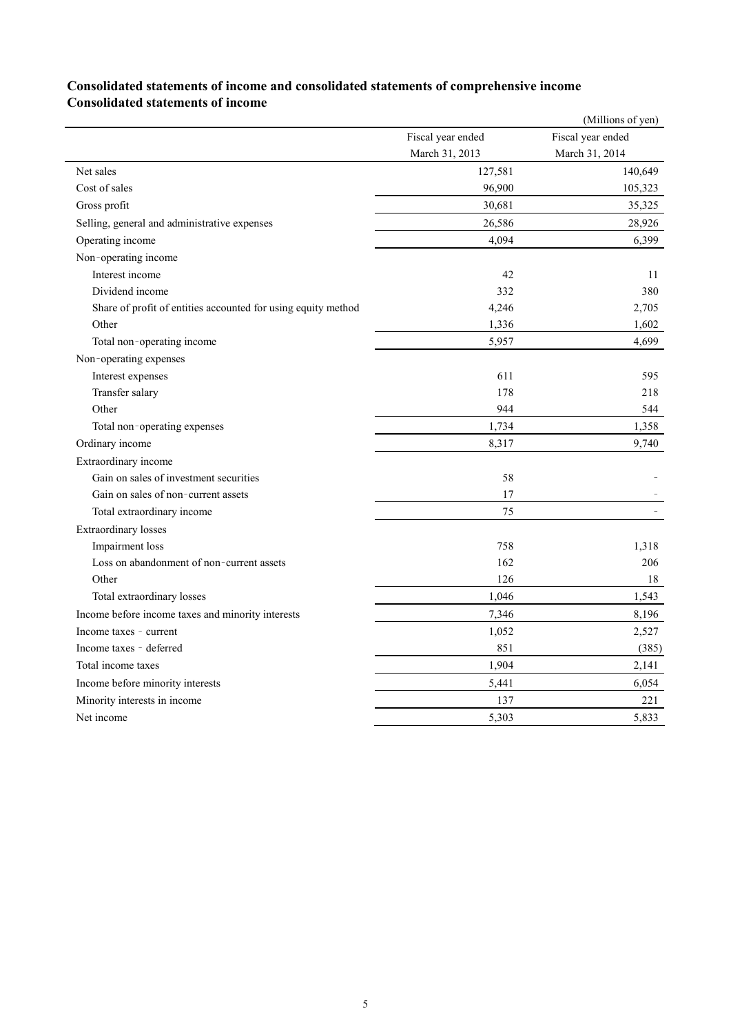### **Consolidated statements of income and consolidated statements of comprehensive income Consolidated statements of income**

|                                                               |                   | (Millions of yen) |
|---------------------------------------------------------------|-------------------|-------------------|
|                                                               | Fiscal year ended | Fiscal year ended |
|                                                               | March 31, 2013    | March 31, 2014    |
| Net sales                                                     | 127,581           | 140,649           |
| Cost of sales                                                 | 96,900            | 105,323           |
| Gross profit                                                  | 30,681            | 35,325            |
| Selling, general and administrative expenses                  | 26,586            | 28,926            |
| Operating income                                              | 4,094             | 6,399             |
| Non-operating income                                          |                   |                   |
| Interest income                                               | 42                | 11                |
| Dividend income                                               | 332               | 380               |
| Share of profit of entities accounted for using equity method | 4,246             | 2,705             |
| Other                                                         | 1,336             | 1,602             |
| Total non-operating income                                    | 5,957             | 4,699             |
| Non-operating expenses                                        |                   |                   |
| Interest expenses                                             | 611               | 595               |
| Transfer salary                                               | 178               | 218               |
| Other                                                         | 944               | 544               |
| Total non-operating expenses                                  | 1,734             | 1,358             |
| Ordinary income                                               | 8,317             | 9,740             |
| Extraordinary income                                          |                   |                   |
| Gain on sales of investment securities                        | 58                |                   |
| Gain on sales of non-current assets                           | 17                |                   |
| Total extraordinary income                                    | 75                | $\equiv$          |
| <b>Extraordinary losses</b>                                   |                   |                   |
| Impairment loss                                               | 758               | 1,318             |
| Loss on abandonment of non-current assets                     | 162               | 206               |
| Other                                                         | 126               | 18                |
| Total extraordinary losses                                    | 1,046             | 1,543             |
| Income before income taxes and minority interests             | 7,346             | 8,196             |
| Income taxes - current                                        | 1,052             | 2,527             |
| Income taxes - deferred                                       | 851               | (385)             |
| Total income taxes                                            | 1,904             | 2,141             |
| Income before minority interests                              | 5,441             | 6,054             |
| Minority interests in income                                  | 137               | 221               |
| Net income                                                    | 5,303             | 5,833             |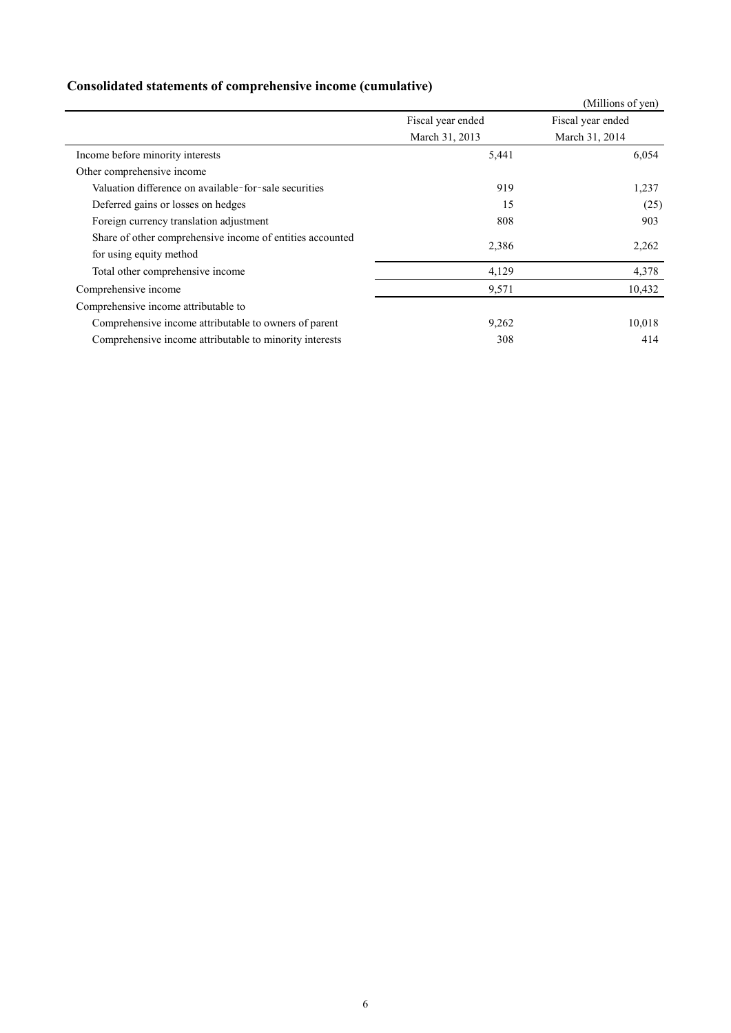## **Consolidated statements of comprehensive income (cumulative)**

|                                                                                      |                   | (Millions of yen) |
|--------------------------------------------------------------------------------------|-------------------|-------------------|
|                                                                                      | Fiscal year ended | Fiscal year ended |
|                                                                                      | March 31, 2013    | March 31, 2014    |
| Income before minority interests                                                     | 5,441             | 6,054             |
| Other comprehensive income                                                           |                   |                   |
| Valuation difference on available-for-sale securities                                | 919               | 1,237             |
| Deferred gains or losses on hedges                                                   | 15                | (25)              |
| Foreign currency translation adjustment                                              | 808               | 903               |
| Share of other comprehensive income of entities accounted<br>for using equity method | 2,386             | 2,262             |
| Total other comprehensive income                                                     | 4,129             | 4,378             |
| Comprehensive income                                                                 | 9,571             | 10,432            |
| Comprehensive income attributable to                                                 |                   |                   |
| Comprehensive income attributable to owners of parent                                | 9,262             | 10,018            |
| Comprehensive income attributable to minority interests                              | 308               | 414               |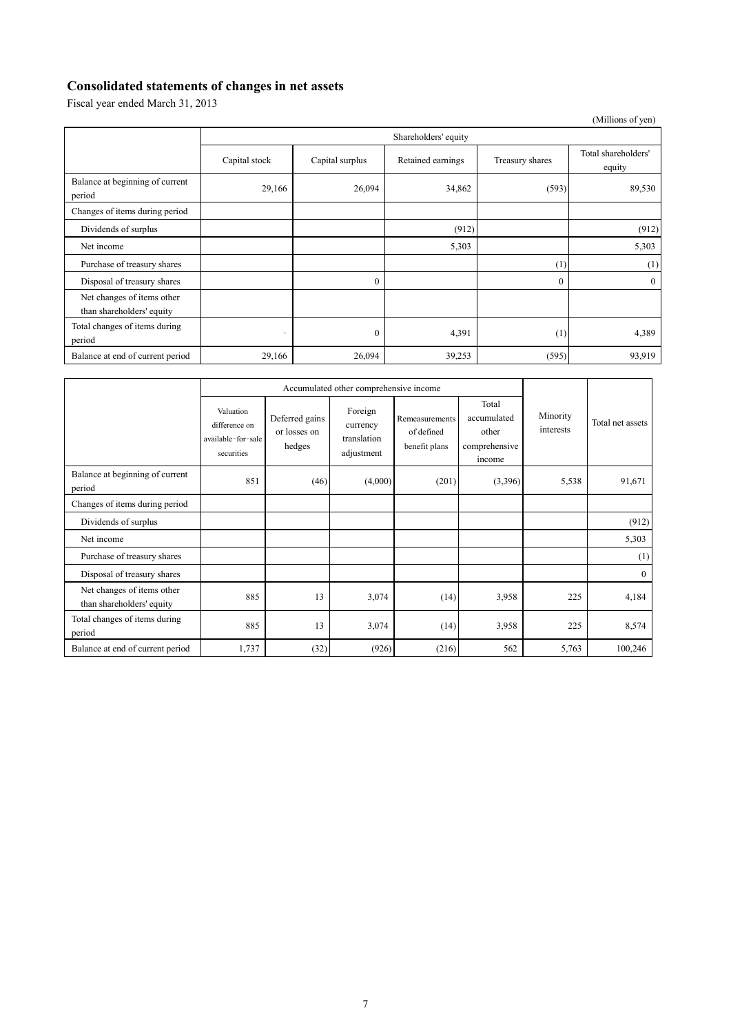## **Consolidated statements of changes in net assets**

Fiscal year ended March 31, 2013

|                                                         |                          |                      |                   |                 | (Millions of yen)             |  |  |
|---------------------------------------------------------|--------------------------|----------------------|-------------------|-----------------|-------------------------------|--|--|
|                                                         |                          | Shareholders' equity |                   |                 |                               |  |  |
|                                                         | Capital stock            | Capital surplus      | Retained earnings | Treasury shares | Total shareholders'<br>equity |  |  |
| Balance at beginning of current<br>period               | 29,166                   | 26,094               | 34,862            | (593)           | 89,530                        |  |  |
| Changes of items during period                          |                          |                      |                   |                 |                               |  |  |
| Dividends of surplus                                    |                          |                      | (912)             |                 | (912)                         |  |  |
| Net income                                              |                          |                      | 5,303             |                 | 5,303                         |  |  |
| Purchase of treasury shares                             |                          |                      |                   | (1)             | (1)                           |  |  |
| Disposal of treasury shares                             |                          | $\theta$             |                   | $\theta$        | $\mathbf{0}$                  |  |  |
| Net changes of items other<br>than shareholders' equity |                          |                      |                   |                 |                               |  |  |
| Total changes of items during<br>period                 | $\overline{\phantom{a}}$ | $\mathbf{0}$         | 4,391             | (1)             | 4,389                         |  |  |
| Balance at end of current period                        | 29,166                   | 26,094               | 39,253            | (595)           | 93,919                        |  |  |

|                                                         | Accumulated other comprehensive income                         |                                          |                                                  |                                               |                                                          |                       |                  |
|---------------------------------------------------------|----------------------------------------------------------------|------------------------------------------|--------------------------------------------------|-----------------------------------------------|----------------------------------------------------------|-----------------------|------------------|
|                                                         | Valuation<br>difference on<br>available-for-sale<br>securities | Deferred gains<br>or losses on<br>hedges | Foreign<br>currency<br>translation<br>adjustment | Remeasurements<br>of defined<br>benefit plans | Total<br>accumulated<br>other<br>comprehensive<br>income | Minority<br>interests | Total net assets |
| Balance at beginning of current<br>period               | 851                                                            | (46)                                     | (4,000)                                          | (201)                                         | (3,396)                                                  | 5,538                 | 91,671           |
| Changes of items during period                          |                                                                |                                          |                                                  |                                               |                                                          |                       |                  |
| Dividends of surplus                                    |                                                                |                                          |                                                  |                                               |                                                          |                       | (912)            |
| Net income                                              |                                                                |                                          |                                                  |                                               |                                                          |                       | 5,303            |
| Purchase of treasury shares                             |                                                                |                                          |                                                  |                                               |                                                          |                       | (1)              |
| Disposal of treasury shares                             |                                                                |                                          |                                                  |                                               |                                                          |                       | $\mathbf{0}$     |
| Net changes of items other<br>than shareholders' equity | 885                                                            | 13                                       | 3,074                                            | (14)                                          | 3,958                                                    | 225                   | 4,184            |
| Total changes of items during<br>period                 | 885                                                            | 13                                       | 3,074                                            | (14)                                          | 3,958                                                    | 225                   | 8,574            |
| Balance at end of current period                        | 1,737                                                          | (32)                                     | (926)                                            | (216)                                         | 562                                                      | 5,763                 | 100,246          |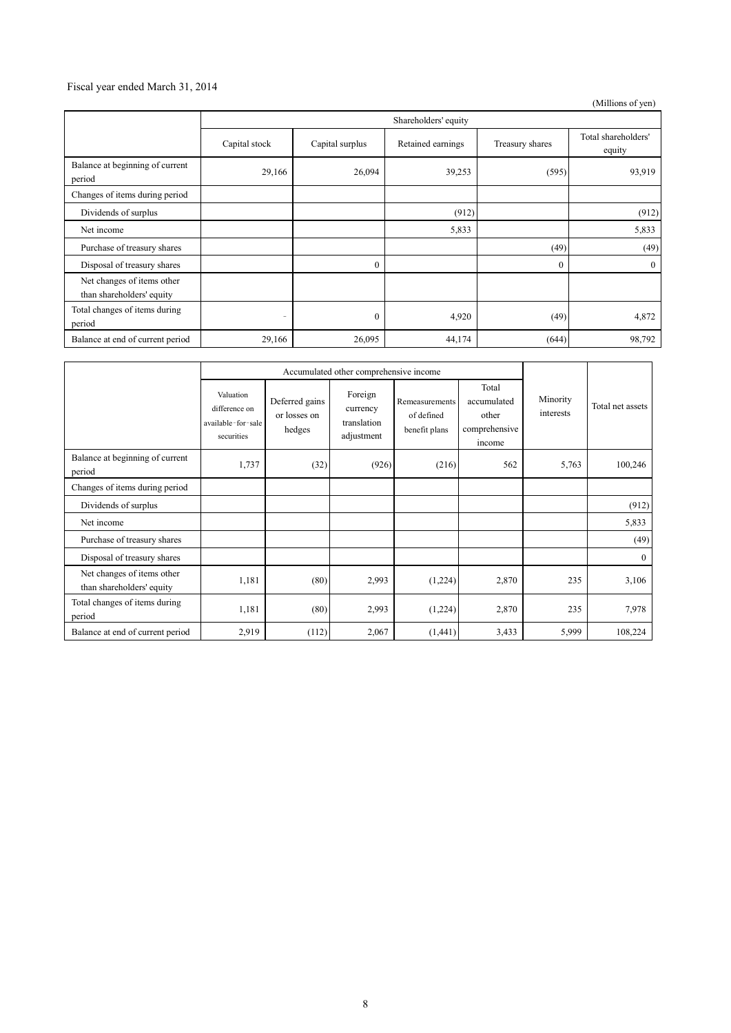### Fiscal year ended March 31, 2014

(Millions of yen)

|                                                         | Shareholders' equity     |                 |                   |                 |                               |
|---------------------------------------------------------|--------------------------|-----------------|-------------------|-----------------|-------------------------------|
|                                                         | Capital stock            | Capital surplus | Retained earnings | Treasury shares | Total shareholders'<br>equity |
| Balance at beginning of current<br>period               | 29,166                   | 26,094          | 39,253            | (595)           | 93,919                        |
| Changes of items during period                          |                          |                 |                   |                 |                               |
| Dividends of surplus                                    |                          |                 | (912)             |                 | (912)                         |
| Net income                                              |                          |                 | 5,833             |                 | 5,833                         |
| Purchase of treasury shares                             |                          |                 |                   | (49)            | (49)                          |
| Disposal of treasury shares                             |                          | $\Omega$        |                   | $\mathbf{0}$    | $\mathbf{0}$                  |
| Net changes of items other<br>than shareholders' equity |                          |                 |                   |                 |                               |
| Total changes of items during<br>period                 | $\overline{\phantom{a}}$ | $\theta$        | 4,920             | (49)            | 4,872                         |
| Balance at end of current period                        | 29,166                   | 26,095          | 44,174            | (644)           | 98,792                        |

|                                                         | Accumulated other comprehensive income                         |                                          |                                                  |                                               |                                                          |                       |                  |
|---------------------------------------------------------|----------------------------------------------------------------|------------------------------------------|--------------------------------------------------|-----------------------------------------------|----------------------------------------------------------|-----------------------|------------------|
|                                                         | Valuation<br>difference on<br>available-for-sale<br>securities | Deferred gains<br>or losses on<br>hedges | Foreign<br>currency<br>translation<br>adjustment | Remeasurements<br>of defined<br>benefit plans | Total<br>accumulated<br>other<br>comprehensive<br>income | Minority<br>interests | Total net assets |
| Balance at beginning of current<br>period               | 1,737                                                          | (32)                                     | (926)                                            | (216)                                         | 562                                                      | 5,763                 | 100,246          |
| Changes of items during period                          |                                                                |                                          |                                                  |                                               |                                                          |                       |                  |
| Dividends of surplus                                    |                                                                |                                          |                                                  |                                               |                                                          |                       | (912)            |
| Net income                                              |                                                                |                                          |                                                  |                                               |                                                          |                       | 5,833            |
| Purchase of treasury shares                             |                                                                |                                          |                                                  |                                               |                                                          |                       | (49)             |
| Disposal of treasury shares                             |                                                                |                                          |                                                  |                                               |                                                          |                       | $\overline{0}$   |
| Net changes of items other<br>than shareholders' equity | 1,181                                                          | (80)                                     | 2,993                                            | (1,224)                                       | 2,870                                                    | 235                   | 3,106            |
| Total changes of items during<br>period                 | 1,181                                                          | (80)                                     | 2,993                                            | (1,224)                                       | 2,870                                                    | 235                   | 7,978            |
| Balance at end of current period                        | 2,919                                                          | (112)                                    | 2,067                                            | (1,441)                                       | 3,433                                                    | 5,999                 | 108,224          |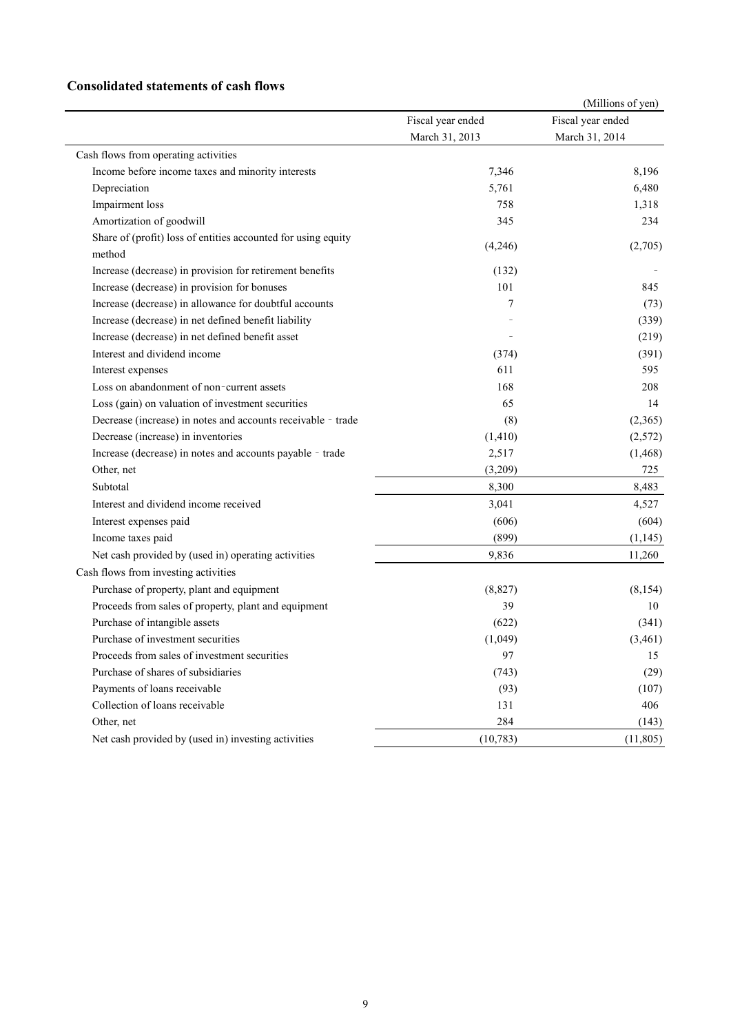### **Consolidated statements of cash flows**

| Fiscal year ended<br>Fiscal year ended<br>March 31, 2013<br>March 31, 2014<br>Cash flows from operating activities<br>7,346<br>8,196<br>Income before income taxes and minority interests<br>5,761<br>Depreciation<br>6,480<br>Impairment loss<br>758<br>1,318<br>Amortization of goodwill<br>345<br>234<br>Share of (profit) loss of entities accounted for using equity<br>(4,246)<br>(2,705)<br>method |  | (Millions of yen) |
|-----------------------------------------------------------------------------------------------------------------------------------------------------------------------------------------------------------------------------------------------------------------------------------------------------------------------------------------------------------------------------------------------------------|--|-------------------|
|                                                                                                                                                                                                                                                                                                                                                                                                           |  |                   |
|                                                                                                                                                                                                                                                                                                                                                                                                           |  |                   |
|                                                                                                                                                                                                                                                                                                                                                                                                           |  |                   |
|                                                                                                                                                                                                                                                                                                                                                                                                           |  |                   |
|                                                                                                                                                                                                                                                                                                                                                                                                           |  |                   |
|                                                                                                                                                                                                                                                                                                                                                                                                           |  |                   |
|                                                                                                                                                                                                                                                                                                                                                                                                           |  |                   |
|                                                                                                                                                                                                                                                                                                                                                                                                           |  |                   |
|                                                                                                                                                                                                                                                                                                                                                                                                           |  |                   |
| Increase (decrease) in provision for retirement benefits<br>(132)                                                                                                                                                                                                                                                                                                                                         |  |                   |
| Increase (decrease) in provision for bonuses<br>101<br>845                                                                                                                                                                                                                                                                                                                                                |  |                   |
| Increase (decrease) in allowance for doubtful accounts<br>7<br>(73)                                                                                                                                                                                                                                                                                                                                       |  |                   |
| Increase (decrease) in net defined benefit liability<br>(339)                                                                                                                                                                                                                                                                                                                                             |  |                   |
| Increase (decrease) in net defined benefit asset<br>(219)                                                                                                                                                                                                                                                                                                                                                 |  |                   |
| Interest and dividend income<br>(391)<br>(374)                                                                                                                                                                                                                                                                                                                                                            |  |                   |
| 611<br>595<br>Interest expenses                                                                                                                                                                                                                                                                                                                                                                           |  |                   |
| Loss on abandonment of non-current assets<br>168<br>208                                                                                                                                                                                                                                                                                                                                                   |  |                   |
| Loss (gain) on valuation of investment securities<br>65<br>14                                                                                                                                                                                                                                                                                                                                             |  |                   |
| Decrease (increase) in notes and accounts receivable - trade<br>(8)<br>(2,365)                                                                                                                                                                                                                                                                                                                            |  |                   |
| Decrease (increase) in inventories<br>(2,572)<br>(1, 410)                                                                                                                                                                                                                                                                                                                                                 |  |                   |
| Increase (decrease) in notes and accounts payable - trade<br>2,517<br>(1, 468)                                                                                                                                                                                                                                                                                                                            |  |                   |
| Other, net<br>(3,209)<br>725                                                                                                                                                                                                                                                                                                                                                                              |  |                   |
| Subtotal<br>8,300<br>8,483                                                                                                                                                                                                                                                                                                                                                                                |  |                   |
| Interest and dividend income received<br>3,041<br>4,527                                                                                                                                                                                                                                                                                                                                                   |  |                   |
| (606)<br>(604)<br>Interest expenses paid                                                                                                                                                                                                                                                                                                                                                                  |  |                   |
| Income taxes paid<br>(899)<br>(1, 145)                                                                                                                                                                                                                                                                                                                                                                    |  |                   |
| Net cash provided by (used in) operating activities<br>9,836<br>11,260                                                                                                                                                                                                                                                                                                                                    |  |                   |
| Cash flows from investing activities                                                                                                                                                                                                                                                                                                                                                                      |  |                   |
| Purchase of property, plant and equipment<br>(8, 827)<br>(8, 154)                                                                                                                                                                                                                                                                                                                                         |  |                   |
| Proceeds from sales of property, plant and equipment<br>39<br>10                                                                                                                                                                                                                                                                                                                                          |  |                   |
| Purchase of intangible assets<br>(622)<br>(341)                                                                                                                                                                                                                                                                                                                                                           |  |                   |
| Purchase of investment securities<br>(1,049)<br>(3,461)                                                                                                                                                                                                                                                                                                                                                   |  |                   |
| 97<br>Proceeds from sales of investment securities<br>15                                                                                                                                                                                                                                                                                                                                                  |  |                   |
| Purchase of shares of subsidiaries<br>(743)<br>(29)                                                                                                                                                                                                                                                                                                                                                       |  |                   |
| Payments of loans receivable<br>(93)<br>(107)                                                                                                                                                                                                                                                                                                                                                             |  |                   |
| Collection of loans receivable<br>406<br>131                                                                                                                                                                                                                                                                                                                                                              |  |                   |
| Other, net<br>284<br>(143)                                                                                                                                                                                                                                                                                                                                                                                |  |                   |
| Net cash provided by (used in) investing activities<br>(10, 783)<br>(11, 805)                                                                                                                                                                                                                                                                                                                             |  |                   |